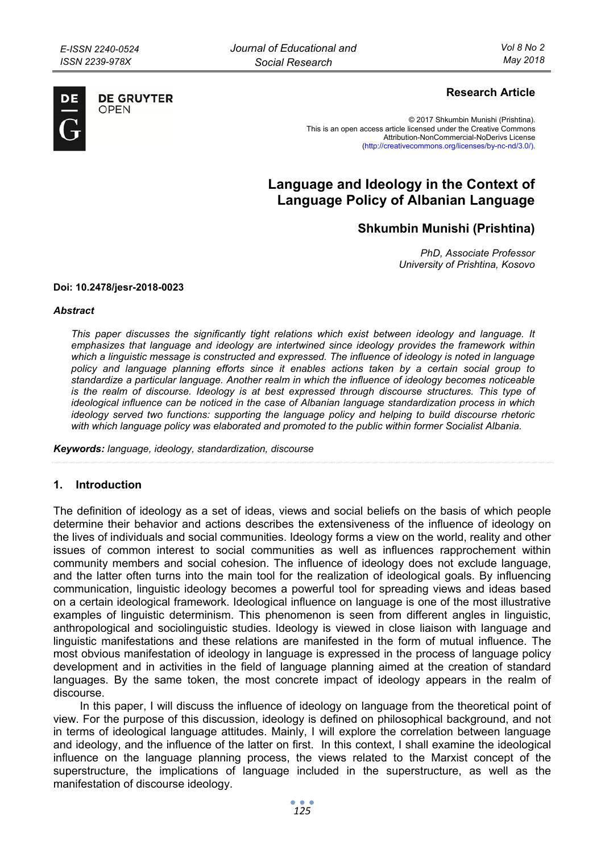

**DE GRUYTER** OPFN

## **Research Article**

© 2017 Shkumbin Munishi (Prishtina). This is an open access article licensed under the Creative Commons Attribution-NonCommercial-NoDerivs License (http://creativecommons.org/licenses/by-nc-nd/3.0/).

# **Language and Ideology in the Context of Language Policy of Albanian Language**

**Shkumbin Munishi (Prishtina)** 

*PhD, Associate Professor University of Prishtina, Kosovo* 

### **Doi: 10.2478/jesr-2018-0023**

#### *Abstract*

*This paper discusses the significantly tight relations which exist between ideology and language. It emphasizes that language and ideology are intertwined since ideology provides the framework within which a linguistic message is constructed and expressed. The influence of ideology is noted in language policy and language planning efforts since it enables actions taken by a certain social group to standardize a particular language. Another realm in which the influence of ideology becomes noticeable is the realm of discourse. Ideology is at best expressed through discourse structures. This type of ideological influence can be noticed in the case of Albanian language standardization process in which ideology served two functions: supporting the language policy and helping to build discourse rhetoric*  with which language policy was elaborated and promoted to the public within former Socialist Albania.

*Keywords: language, ideology, standardization, discourse* 

## **1. Introduction**

The definition of ideology as a set of ideas, views and social beliefs on the basis of which people determine their behavior and actions describes the extensiveness of the influence of ideology on the lives of individuals and social communities. Ideology forms a view on the world, reality and other issues of common interest to social communities as well as influences rapprochement within community members and social cohesion. The influence of ideology does not exclude language, and the latter often turns into the main tool for the realization of ideological goals. By influencing communication, linguistic ideology becomes a powerful tool for spreading views and ideas based on a certain ideological framework. Ideological influence on language is one of the most illustrative examples of linguistic determinism. This phenomenon is seen from different angles in linguistic, anthropological and sociolinguistic studies. Ideology is viewed in close liaison with language and linguistic manifestations and these relations are manifested in the form of mutual influence. The most obvious manifestation of ideology in language is expressed in the process of language policy development and in activities in the field of language planning aimed at the creation of standard languages. By the same token, the most concrete impact of ideology appears in the realm of discourse.

In this paper, I will discuss the influence of ideology on language from the theoretical point of view. For the purpose of this discussion, ideology is defined on philosophical background, and not in terms of ideological language attitudes. Mainly, I will explore the correlation between language and ideology, and the influence of the latter on first. In this context, I shall examine the ideological influence on the language planning process, the views related to the Marxist concept of the superstructure, the implications of language included in the superstructure, as well as the manifestation of discourse ideology.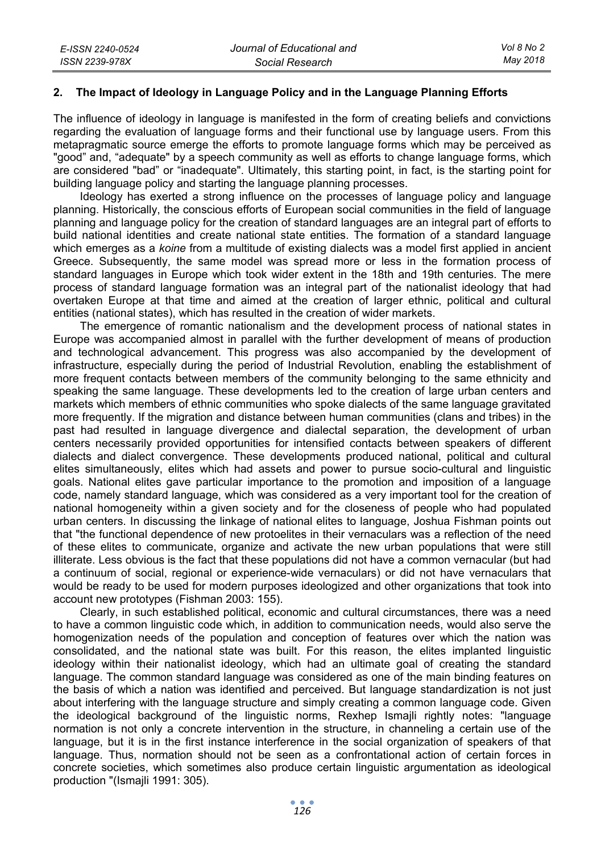## **2. The Impact of Ideology in Language Policy and in the Language Planning Efforts**

The influence of ideology in language is manifested in the form of creating beliefs and convictions regarding the evaluation of language forms and their functional use by language users. From this metapragmatic source emerge the efforts to promote language forms which may be perceived as "good" and, "adequate" by a speech community as well as efforts to change language forms, which are considered "bad" or "inadequate". Ultimately, this starting point, in fact, is the starting point for building language policy and starting the language planning processes.

Ideology has exerted a strong influence on the processes of language policy and language planning. Historically, the conscious efforts of European social communities in the field of language planning and language policy for the creation of standard languages are an integral part of efforts to build national identities and create national state entities. The formation of a standard language which emerges as a *koine* from a multitude of existing dialects was a model first applied in ancient Greece. Subsequently, the same model was spread more or less in the formation process of standard languages in Europe which took wider extent in the 18th and 19th centuries. The mere process of standard language formation was an integral part of the nationalist ideology that had overtaken Europe at that time and aimed at the creation of larger ethnic, political and cultural entities (national states), which has resulted in the creation of wider markets.

The emergence of romantic nationalism and the development process of national states in Europe was accompanied almost in parallel with the further development of means of production and technological advancement. This progress was also accompanied by the development of infrastructure, especially during the period of Industrial Revolution, enabling the establishment of more frequent contacts between members of the community belonging to the same ethnicity and speaking the same language. These developments led to the creation of large urban centers and markets which members of ethnic communities who spoke dialects of the same language gravitated more frequently. If the migration and distance between human communities (clans and tribes) in the past had resulted in language divergence and dialectal separation, the development of urban centers necessarily provided opportunities for intensified contacts between speakers of different dialects and dialect convergence. These developments produced national, political and cultural elites simultaneously, elites which had assets and power to pursue socio-cultural and linguistic goals. National elites gave particular importance to the promotion and imposition of a language code, namely standard language, which was considered as a very important tool for the creation of national homogeneity within a given society and for the closeness of people who had populated urban centers. In discussing the linkage of national elites to language, Joshua Fishman points out that "the functional dependence of new protoelites in their vernaculars was a reflection of the need of these elites to communicate, organize and activate the new urban populations that were still illiterate. Less obvious is the fact that these populations did not have a common vernacular (but had a continuum of social, regional or experience-wide vernaculars) or did not have vernaculars that would be ready to be used for modern purposes ideologized and other organizations that took into account new prototypes (Fishman 2003: 155).

Clearly, in such established political, economic and cultural circumstances, there was a need to have a common linguistic code which, in addition to communication needs, would also serve the homogenization needs of the population and conception of features over which the nation was consolidated, and the national state was built. For this reason, the elites implanted linguistic ideology within their nationalist ideology, which had an ultimate goal of creating the standard language. The common standard language was considered as one of the main binding features on the basis of which a nation was identified and perceived. But language standardization is not just about interfering with the language structure and simply creating a common language code. Given the ideological background of the linguistic norms, Rexhep Ismajli rightly notes: "language normation is not only a concrete intervention in the structure, in channeling a certain use of the language, but it is in the first instance interference in the social organization of speakers of that language. Thus, normation should not be seen as a confrontational action of certain forces in concrete societies, which sometimes also produce certain linguistic argumentation as ideological production "(Ismajli 1991: 305).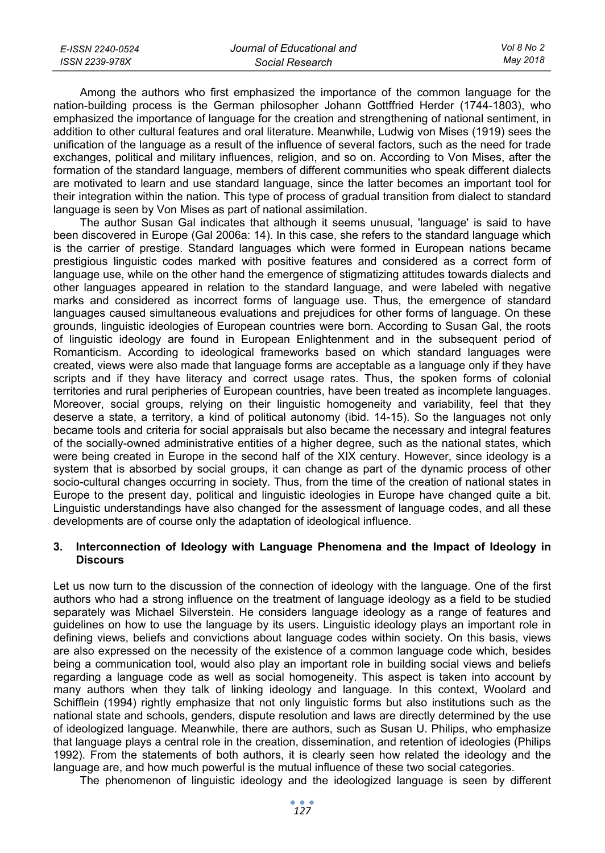| E-ISSN 2240-0524 | Journal of Educational and | Vol 8 No 2 |
|------------------|----------------------------|------------|
| ISSN 2239-978X   | Social Research            | Mav 2018   |

Among the authors who first emphasized the importance of the common language for the nation-building process is the German philosopher Johann Gottffried Herder (1744-1803), who emphasized the importance of language for the creation and strengthening of national sentiment, in addition to other cultural features and oral literature. Meanwhile, Ludwig von Mises (1919) sees the unification of the language as a result of the influence of several factors, such as the need for trade exchanges, political and military influences, religion, and so on. According to Von Mises, after the formation of the standard language, members of different communities who speak different dialects are motivated to learn and use standard language, since the latter becomes an important tool for their integration within the nation. This type of process of gradual transition from dialect to standard language is seen by Von Mises as part of national assimilation.

The author Susan Gal indicates that although it seems unusual, 'language' is said to have been discovered in Europe (Gal 2006a: 14). In this case, she refers to the standard language which is the carrier of prestige. Standard languages which were formed in European nations became prestigious linguistic codes marked with positive features and considered as a correct form of language use, while on the other hand the emergence of stigmatizing attitudes towards dialects and other languages appeared in relation to the standard language, and were labeled with negative marks and considered as incorrect forms of language use. Thus, the emergence of standard languages caused simultaneous evaluations and prejudices for other forms of language. On these grounds, linguistic ideologies of European countries were born. According to Susan Gal, the roots of linguistic ideology are found in European Enlightenment and in the subsequent period of Romanticism. According to ideological frameworks based on which standard languages were created, views were also made that language forms are acceptable as a language only if they have scripts and if they have literacy and correct usage rates. Thus, the spoken forms of colonial territories and rural peripheries of European countries, have been treated as incomplete languages. Moreover, social groups, relying on their linguistic homogeneity and variability, feel that they deserve a state, a territory, a kind of political autonomy (ibid. 14-15). So the languages not only became tools and criteria for social appraisals but also became the necessary and integral features of the socially-owned administrative entities of a higher degree, such as the national states, which were being created in Europe in the second half of the XIX century. However, since ideology is a system that is absorbed by social groups, it can change as part of the dynamic process of other socio-cultural changes occurring in society. Thus, from the time of the creation of national states in Europe to the present day, political and linguistic ideologies in Europe have changed quite a bit. Linguistic understandings have also changed for the assessment of language codes, and all these developments are of course only the adaptation of ideological influence.

## **3. Interconnection of Ideology with Language Phenomena and the Impact of Ideology in Discours**

Let us now turn to the discussion of the connection of ideology with the language. One of the first authors who had a strong influence on the treatment of language ideology as a field to be studied separately was Michael Silverstein. He considers language ideology as a range of features and guidelines on how to use the language by its users. Linguistic ideology plays an important role in defining views, beliefs and convictions about language codes within society. On this basis, views are also expressed on the necessity of the existence of a common language code which, besides being a communication tool, would also play an important role in building social views and beliefs regarding a language code as well as social homogeneity. This aspect is taken into account by many authors when they talk of linking ideology and language. In this context, Woolard and Schifflein (1994) rightly emphasize that not only linguistic forms but also institutions such as the national state and schools, genders, dispute resolution and laws are directly determined by the use of ideologized language. Meanwhile, there are authors, such as Susan U. Philips, who emphasize that language plays a central role in the creation, dissemination, and retention of ideologies (Philips 1992). From the statements of both authors, it is clearly seen how related the ideology and the language are, and how much powerful is the mutual influence of these two social categories.

The phenomenon of linguistic ideology and the ideologized language is seen by different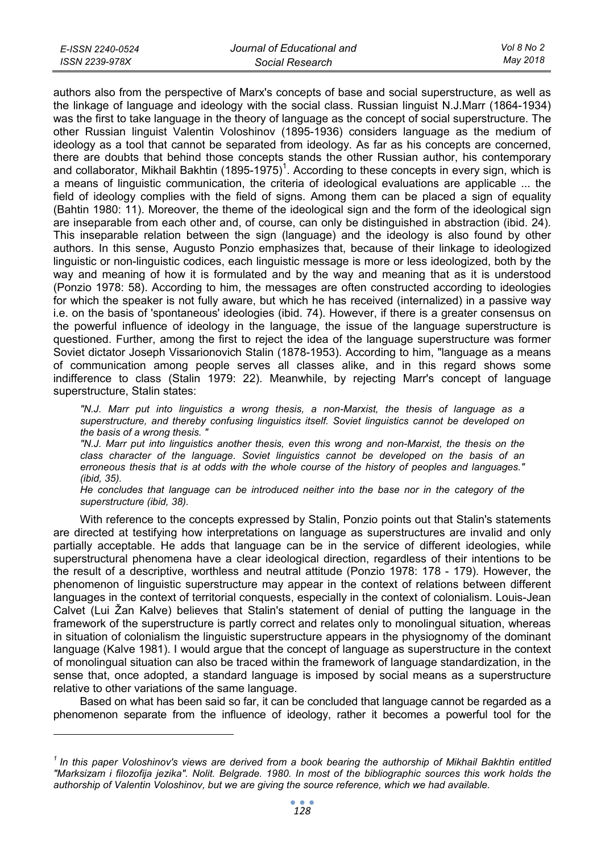| E-ISSN 2240-0524 | Journal of Educational and | Vol 8 No 2 |
|------------------|----------------------------|------------|
| ISSN 2239-978X   | Social Research            | May 2018   |

authors also from the perspective of Marx's concepts of base and social superstructure, as well as the linkage of language and ideology with the social class. Russian linguist N.J.Marr (1864-1934) was the first to take language in the theory of language as the concept of social superstructure. The other Russian linguist Valentin Voloshinov (1895-1936) considers language as the medium of ideology as a tool that cannot be separated from ideology. As far as his concepts are concerned, there are doubts that behind those concepts stands the other Russian author, his contemporary and collaborator, Mikhail Bakhtin (1895-1975)<sup>1</sup>. According to these concepts in every sign, which is a means of linguistic communication, the criteria of ideological evaluations are applicable ... the field of ideology complies with the field of signs. Among them can be placed a sign of equality (Bahtin 1980: 11). Moreover, the theme of the ideological sign and the form of the ideological sign are inseparable from each other and, of course, can only be distinguished in abstraction (ibid. 24). This inseparable relation between the sign (language) and the ideology is also found by other authors. In this sense, Augusto Ponzio emphasizes that, because of their linkage to ideologized linguistic or non-linguistic codices, each linguistic message is more or less ideologized, both by the way and meaning of how it is formulated and by the way and meaning that as it is understood (Ponzio 1978: 58). According to him, the messages are often constructed according to ideologies for which the speaker is not fully aware, but which he has received (internalized) in a passive way i.e. on the basis of 'spontaneous' ideologies (ibid. 74). However, if there is a greater consensus on the powerful influence of ideology in the language, the issue of the language superstructure is questioned. Further, among the first to reject the idea of the language superstructure was former Soviet dictator Joseph Vissarionovich Stalin (1878-1953). According to him, "language as a means of communication among people serves all classes alike, and in this regard shows some indifference to class (Stalin 1979: 22). Meanwhile, by rejecting Marr's concept of language superstructure, Stalin states:

*"N.J. Marr put into linguistics a wrong thesis, a non-Marxist, the thesis of language as a superstructure, and thereby confusing linguistics itself. Soviet linguistics cannot be developed on the basis of a wrong thesis. "* 

*"N.J. Marr put into linguistics another thesis, even this wrong and non-Marxist, the thesis on the class character of the language. Soviet linguistics cannot be developed on the basis of an erroneous thesis that is at odds with the whole course of the history of peoples and languages." (ibid, 35).* 

*He concludes that language can be introduced neither into the base nor in the category of the superstructure (ibid, 38).* 

With reference to the concepts expressed by Stalin, Ponzio points out that Stalin's statements are directed at testifying how interpretations on language as superstructures are invalid and only partially acceptable. He adds that language can be in the service of different ideologies, while superstructural phenomena have a clear ideological direction, regardless of their intentions to be the result of a descriptive, worthless and neutral attitude (Ponzio 1978: 178 - 179). However, the phenomenon of linguistic superstructure may appear in the context of relations between different languages in the context of territorial conquests, especially in the context of colonialism. Louis-Jean Calvet (Lui Žan Kalve) believes that Stalin's statement of denial of putting the language in the framework of the superstructure is partly correct and relates only to monolingual situation, whereas in situation of colonialism the linguistic superstructure appears in the physiognomy of the dominant language (Kalve 1981). I would argue that the concept of language as superstructure in the context of monolingual situation can also be traced within the framework of language standardization, in the sense that, once adopted, a standard language is imposed by social means as a superstructure relative to other variations of the same language.

Based on what has been said so far, it can be concluded that language cannot be regarded as a phenomenon separate from the influence of ideology, rather it becomes a powerful tool for the

 $\overline{a}$ 

<sup>&</sup>lt;sup>1</sup> In this paper Voloshinov's views are derived from a book bearing the authorship of Mikhail Bakhtin entitled *"Marksizam i filozofija jezika". Nolit. Belgrade. 1980. In most of the bibliographic sources this work holds the authorship of Valentin Voloshinov, but we are giving the source reference, which we had available.*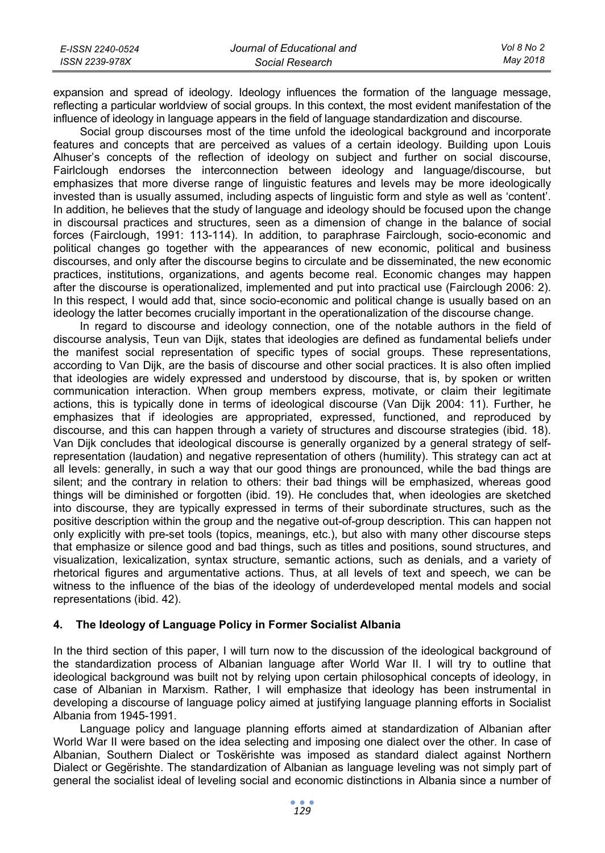| E-ISSN 2240-0524 | Journal of Educational and | Vol 8 No 2 |
|------------------|----------------------------|------------|
| ISSN 2239-978X   | Social Research            | Mav 2018   |

expansion and spread of ideology. Ideology influences the formation of the language message, reflecting a particular worldview of social groups. In this context, the most evident manifestation of the influence of ideology in language appears in the field of language standardization and discourse.

Social group discourses most of the time unfold the ideological background and incorporate features and concepts that are perceived as values of a certain ideology. Building upon Louis Alhuser's concepts of the reflection of ideology on subject and further on social discourse, Fairlclough endorses the interconnection between ideology and language/discourse, but emphasizes that more diverse range of linguistic features and levels may be more ideologically invested than is usually assumed, including aspects of linguistic form and style as well as 'content'. In addition, he believes that the study of language and ideology should be focused upon the change in discoursal practices and structures, seen as a dimension of change in the balance of social forces (Fairclough, 1991: 113-114). In addition, to paraphrase Fairclough, socio-economic and political changes go together with the appearances of new economic, political and business discourses, and only after the discourse begins to circulate and be disseminated, the new economic practices, institutions, organizations, and agents become real. Economic changes may happen after the discourse is operationalized, implemented and put into practical use (Fairclough 2006: 2). In this respect, I would add that, since socio-economic and political change is usually based on an ideology the latter becomes crucially important in the operationalization of the discourse change.

In regard to discourse and ideology connection, one of the notable authors in the field of discourse analysis, Teun van Dijk, states that ideologies are defined as fundamental beliefs under the manifest social representation of specific types of social groups. These representations, according to Van Dijk, are the basis of discourse and other social practices. It is also often implied that ideologies are widely expressed and understood by discourse, that is, by spoken or written communication interaction. When group members express, motivate, or claim their legitimate actions, this is typically done in terms of ideological discourse (Van Dijk 2004: 11). Further, he emphasizes that if ideologies are appropriated, expressed, functioned, and reproduced by discourse, and this can happen through a variety of structures and discourse strategies (ibid. 18). Van Dijk concludes that ideological discourse is generally organized by a general strategy of selfrepresentation (laudation) and negative representation of others (humility). This strategy can act at all levels: generally, in such a way that our good things are pronounced, while the bad things are silent; and the contrary in relation to others: their bad things will be emphasized, whereas good things will be diminished or forgotten (ibid. 19). He concludes that, when ideologies are sketched into discourse, they are typically expressed in terms of their subordinate structures, such as the positive description within the group and the negative out-of-group description. This can happen not only explicitly with pre-set tools (topics, meanings, etc.), but also with many other discourse steps that emphasize or silence good and bad things, such as titles and positions, sound structures, and visualization, lexicalization, syntax structure, semantic actions, such as denials, and a variety of rhetorical figures and argumentative actions. Thus, at all levels of text and speech, we can be witness to the influence of the bias of the ideology of underdeveloped mental models and social representations (ibid. 42).

## **4. The Ideology of Language Policy in Former Socialist Albania**

In the third section of this paper, I will turn now to the discussion of the ideological background of the standardization process of Albanian language after World War II. I will try to outline that ideological background was built not by relying upon certain philosophical concepts of ideology, in case of Albanian in Marxism. Rather, I will emphasize that ideology has been instrumental in developing a discourse of language policy aimed at justifying language planning efforts in Socialist Albania from 1945-1991.

Language policy and language planning efforts aimed at standardization of Albanian after World War II were based on the idea selecting and imposing one dialect over the other. In case of Albanian, Southern Dialect or Toskërishte was imposed as standard dialect against Northern Dialect or Gegërishte. The standardization of Albanian as language leveling was not simply part of general the socialist ideal of leveling social and economic distinctions in Albania since a number of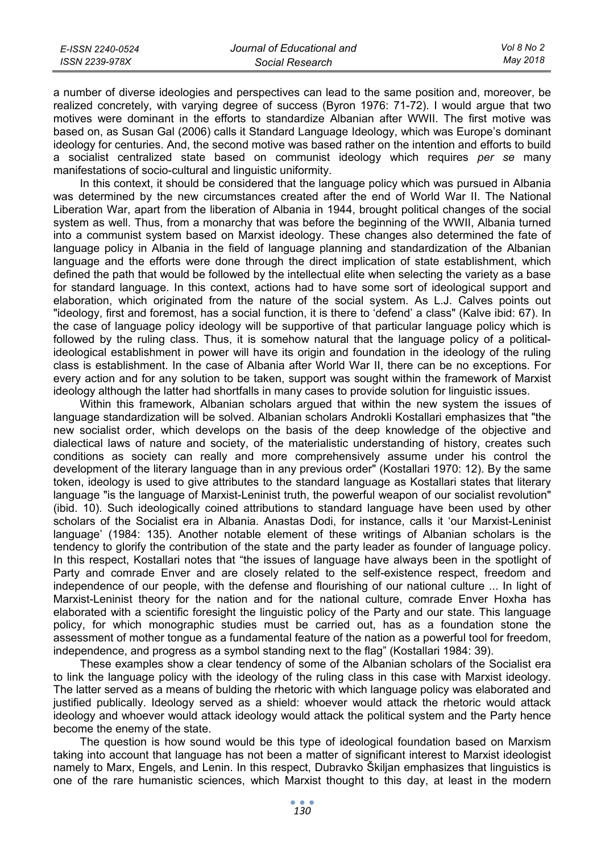| E-ISSN 2240-0524 | Journal of Educational and | Vol 8 No 2 |
|------------------|----------------------------|------------|
| ISSN 2239-978X   | Social Research            | Mav 2018   |

a number of diverse ideologies and perspectives can lead to the same position and, moreover, be realized concretely, with varying degree of success (Byron 1976: 71-72). I would argue that two motives were dominant in the efforts to standardize Albanian after WWII. The first motive was based on, as Susan Gal (2006) calls it Standard Language Ideology, which was Europe's dominant ideology for centuries. And, the second motive was based rather on the intention and efforts to build a socialist centralized state based on communist ideology which requires *per se* many manifestations of socio-cultural and linguistic uniformity.

In this context, it should be considered that the language policy which was pursued in Albania was determined by the new circumstances created after the end of World War II. The National Liberation War, apart from the liberation of Albania in 1944, brought political changes of the social system as well. Thus, from a monarchy that was before the beginning of the WWII, Albania turned into a communist system based on Marxist ideology. These changes also determined the fate of language policy in Albania in the field of language planning and standardization of the Albanian language and the efforts were done through the direct implication of state establishment, which defined the path that would be followed by the intellectual elite when selecting the variety as a base for standard language. In this context, actions had to have some sort of ideological support and elaboration, which originated from the nature of the social system. As L.J. Calves points out "ideology, first and foremost, has a social function, it is there to 'defend' a class" (Kalve ibid: 67). In the case of language policy ideology will be supportive of that particular language policy which is followed by the ruling class. Thus, it is somehow natural that the language policy of a politicalideological establishment in power will have its origin and foundation in the ideology of the ruling class is establishment. In the case of Albania after World War II, there can be no exceptions. For every action and for any solution to be taken, support was sought within the framework of Marxist ideology although the latter had shortfalls in many cases to provide solution for linguistic issues.

Within this framework, Albanian scholars argued that within the new system the issues of language standardization will be solved. Albanian scholars Androkli Kostallari emphasizes that "the new socialist order, which develops on the basis of the deep knowledge of the objective and dialectical laws of nature and society, of the materialistic understanding of history, creates such conditions as society can really and more comprehensively assume under his control the development of the literary language than in any previous order" (Kostallari 1970: 12). By the same token, ideology is used to give attributes to the standard language as Kostallari states that literary language "is the language of Marxist-Leninist truth, the powerful weapon of our socialist revolution" (ibid. 10). Such ideologically coined attributions to standard language have been used by other scholars of the Socialist era in Albania. Anastas Dodi, for instance, calls it 'our Marxist-Leninist language' (1984: 135). Another notable element of these writings of Albanian scholars is the tendency to glorify the contribution of the state and the party leader as founder of language policy. In this respect, Kostallari notes that "the issues of language have always been in the spotlight of Party and comrade Enver and are closely related to the self-existence respect, freedom and independence of our people, with the defense and flourishing of our national culture ... In light of Marxist-Leninist theory for the nation and for the national culture, comrade Enver Hoxha has elaborated with a scientific foresight the linguistic policy of the Party and our state. This language policy, for which monographic studies must be carried out, has as a foundation stone the assessment of mother tongue as a fundamental feature of the nation as a powerful tool for freedom, independence, and progress as a symbol standing next to the flag" (Kostallari 1984: 39).

These examples show a clear tendency of some of the Albanian scholars of the Socialist era to link the language policy with the ideology of the ruling class in this case with Marxist ideology. The latter served as a means of bulding the rhetoric with which language policy was elaborated and justified publically. Ideology served as a shield: whoever would attack the rhetoric would attack ideology and whoever would attack ideology would attack the political system and the Party hence become the enemy of the state.

The question is how sound would be this type of ideological foundation based on Marxism taking into account that language has not been a matter of significant interest to Marxist ideologist namely to Marx, Engels, and Lenin. In this respect, Dubravko Škiljan emphasizes that linguistics is one of the rare humanistic sciences, which Marxist thought to this day, at least in the modern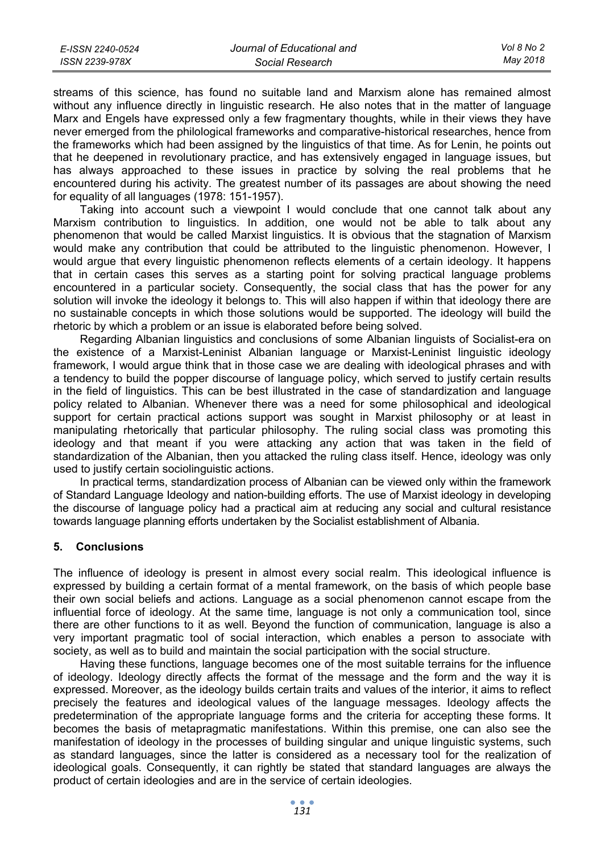| E-ISSN 2240-0524 | Journal of Educational and | Vol 8 No 2 |
|------------------|----------------------------|------------|
| ISSN 2239-978X   | Social Research            | Mav 2018   |

streams of this science, has found no suitable land and Marxism alone has remained almost without any influence directly in linguistic research. He also notes that in the matter of language Marx and Engels have expressed only a few fragmentary thoughts, while in their views they have never emerged from the philological frameworks and comparative-historical researches, hence from the frameworks which had been assigned by the linguistics of that time. As for Lenin, he points out that he deepened in revolutionary practice, and has extensively engaged in language issues, but has always approached to these issues in practice by solving the real problems that he encountered during his activity. The greatest number of its passages are about showing the need for equality of all languages (1978: 151-1957).

Taking into account such a viewpoint I would conclude that one cannot talk about any Marxism contribution to linguistics. In addition, one would not be able to talk about any phenomenon that would be called Marxist linguistics. It is obvious that the stagnation of Marxism would make any contribution that could be attributed to the linguistic phenomenon. However, I would argue that every linguistic phenomenon reflects elements of a certain ideology. It happens that in certain cases this serves as a starting point for solving practical language problems encountered in a particular society. Consequently, the social class that has the power for any solution will invoke the ideology it belongs to. This will also happen if within that ideology there are no sustainable concepts in which those solutions would be supported. The ideology will build the rhetoric by which a problem or an issue is elaborated before being solved.

Regarding Albanian linguistics and conclusions of some Albanian linguists of Socialist-era on the existence of a Marxist-Leninist Albanian language or Marxist-Leninist linguistic ideology framework, I would argue think that in those case we are dealing with ideological phrases and with a tendency to build the popper discourse of language policy, which served to justify certain results in the field of linguistics. This can be best illustrated in the case of standardization and language policy related to Albanian. Whenever there was a need for some philosophical and ideological support for certain practical actions support was sought in Marxist philosophy or at least in manipulating rhetorically that particular philosophy. The ruling social class was promoting this ideology and that meant if you were attacking any action that was taken in the field of standardization of the Albanian, then you attacked the ruling class itself. Hence, ideology was only used to justify certain sociolinguistic actions.

In practical terms, standardization process of Albanian can be viewed only within the framework of Standard Language Ideology and nation-building efforts. The use of Marxist ideology in developing the discourse of language policy had a practical aim at reducing any social and cultural resistance towards language planning efforts undertaken by the Socialist establishment of Albania.

### **5. Conclusions**

The influence of ideology is present in almost every social realm. This ideological influence is expressed by building a certain format of a mental framework, on the basis of which people base their own social beliefs and actions. Language as a social phenomenon cannot escape from the influential force of ideology. At the same time, language is not only a communication tool, since there are other functions to it as well. Beyond the function of communication, language is also a very important pragmatic tool of social interaction, which enables a person to associate with society, as well as to build and maintain the social participation with the social structure.

Having these functions, language becomes one of the most suitable terrains for the influence of ideology. Ideology directly affects the format of the message and the form and the way it is expressed. Moreover, as the ideology builds certain traits and values of the interior, it aims to reflect precisely the features and ideological values of the language messages. Ideology affects the predetermination of the appropriate language forms and the criteria for accepting these forms. It becomes the basis of metapragmatic manifestations. Within this premise, one can also see the manifestation of ideology in the processes of building singular and unique linguistic systems, such as standard languages, since the latter is considered as a necessary tool for the realization of ideological goals. Consequently, it can rightly be stated that standard languages are always the product of certain ideologies and are in the service of certain ideologies.